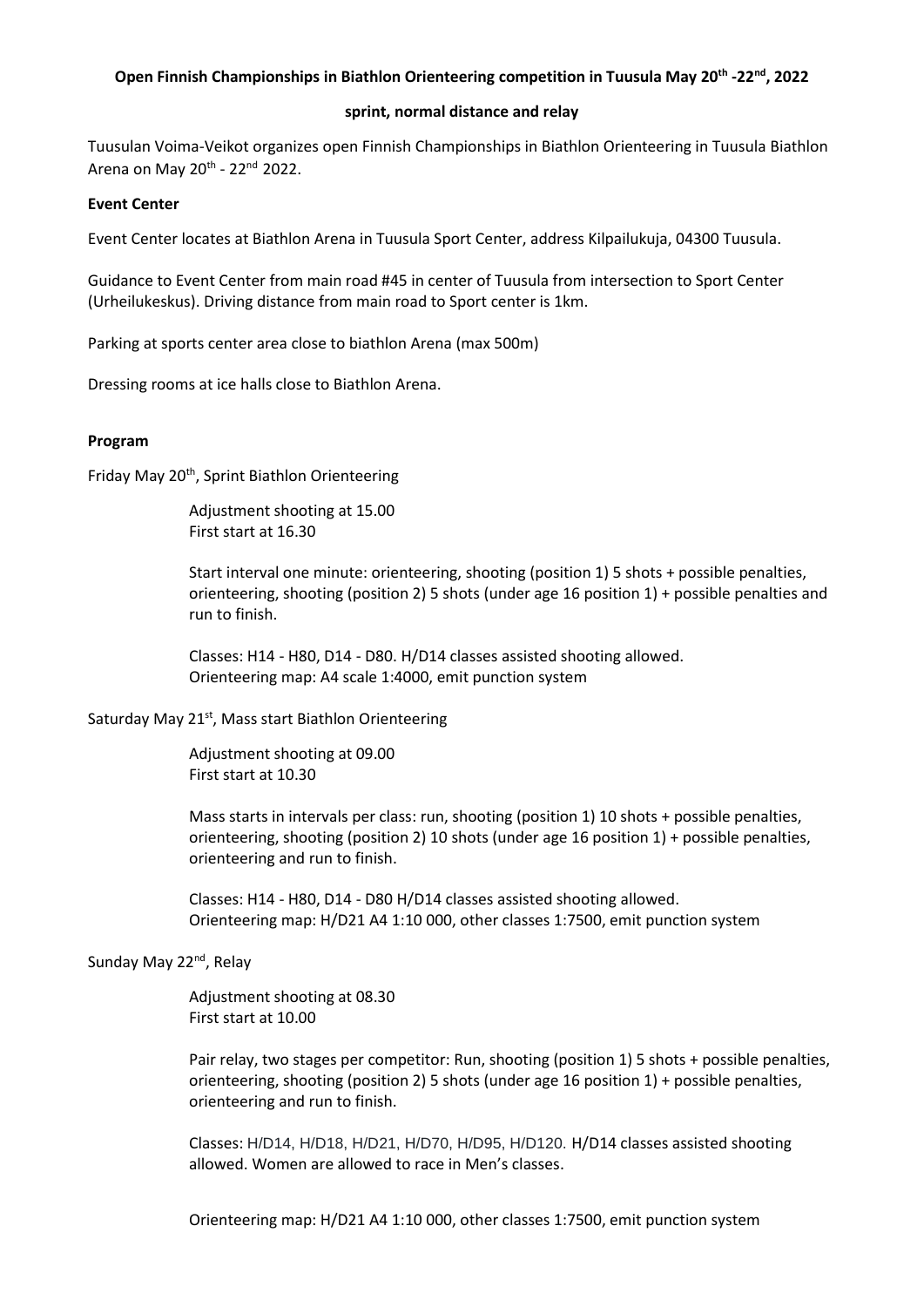# **Open Finnish Championships in Biathlon Orienteering competition in Tuusula May 20th -22nd , 2022**

### **sprint, normal distance and relay**

Tuusulan Voima-Veikot organizes open Finnish Championships in Biathlon Orienteering in Tuusula Biathlon Arena on May 20<sup>th</sup> - 22<sup>nd</sup> 2022.

### **Event Center**

Event Center locates at Biathlon Arena in Tuusula Sport Center, address Kilpailukuja, 04300 Tuusula.

Guidance to Event Center from main road #45 in center of Tuusula from intersection to Sport Center (Urheilukeskus). Driving distance from main road to Sport center is 1km.

Parking at sports center area close to biathlon Arena (max 500m)

Dressing rooms at ice halls close to Biathlon Arena.

#### **Program**

Friday May 20<sup>th</sup>, Sprint Biathlon Orienteering

Adjustment shooting at 15.00 First start at 16.30

Start interval one minute: orienteering, shooting (position 1) 5 shots + possible penalties, orienteering, shooting (position 2) 5 shots (under age 16 position 1) + possible penalties and run to finish.

Classes: H14 - H80, D14 - D80. H/D14 classes assisted shooting allowed. Orienteering map: A4 scale 1:4000, emit punction system

Saturday May 21<sup>st</sup>, Mass start Biathlon Orienteering

Adjustment shooting at 09.00 First start at 10.30

Mass starts in intervals per class: run, shooting (position 1) 10 shots + possible penalties, orienteering, shooting (position 2) 10 shots (under age 16 position 1) + possible penalties, orienteering and run to finish.

Classes: H14 - H80, D14 - D80 H/D14 classes assisted shooting allowed. Orienteering map: H/D21 A4 1:10 000, other classes 1:7500, emit punction system

## Sunday May 22<sup>nd</sup>, Relay

Adjustment shooting at 08.30 First start at 10.00

Pair relay, two stages per competitor: Run, shooting (position 1) 5 shots + possible penalties, orienteering, shooting (position 2) 5 shots (under age 16 position 1) + possible penalties, orienteering and run to finish.

Classes: H/D14, H/D18, H/D21, H/D70, H/D95, H/D120. H/D14 classes assisted shooting allowed. Women are allowed to race in Men's classes.

Orienteering map: H/D21 A4 1:10 000, other classes 1:7500, emit punction system